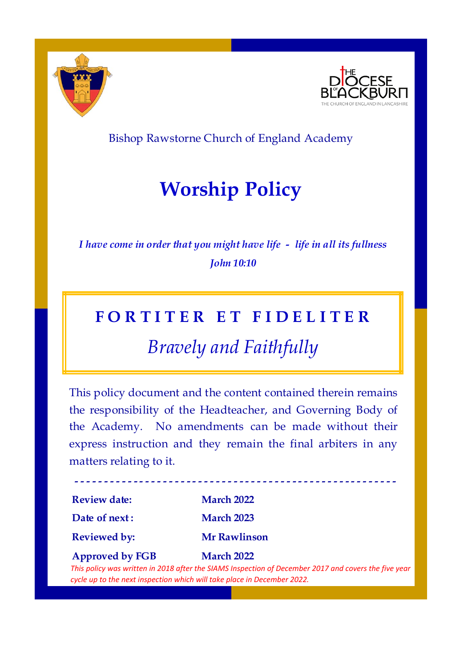



### Bishop Rawstorne Church of England Academy

# **Worship Policy**

*I have come in order that you might have life - life in all its fullness John 10:10* 

### **F O R T I T E R E T F I D E L I T E R**

## *Bravely and Faithfully*

This policy document and the content contained therein remains the responsibility of the Headteacher, and Governing Body of the Academy. No amendments can be made without their express instruction and they remain the final arbiters in any matters relating to it.

| <b>Review date:</b>    | <b>March 2022</b>   |
|------------------------|---------------------|
| Date of next:          | <b>March 2023</b>   |
| <b>Reviewed by:</b>    | <b>Mr Rawlinson</b> |
| <b>Approved by FGB</b> | <b>March 2022</b>   |

 **- - - - - - - - - - - - - - - - - - - - - - - - - - - - - - - - - - - - - - - - - - - - - - - - - - - - - - -** 

*This policy was written in 2018 after the SIAMS Inspection of December 2017 and covers the five year cycle up to the next inspection which will take place in December 2022.*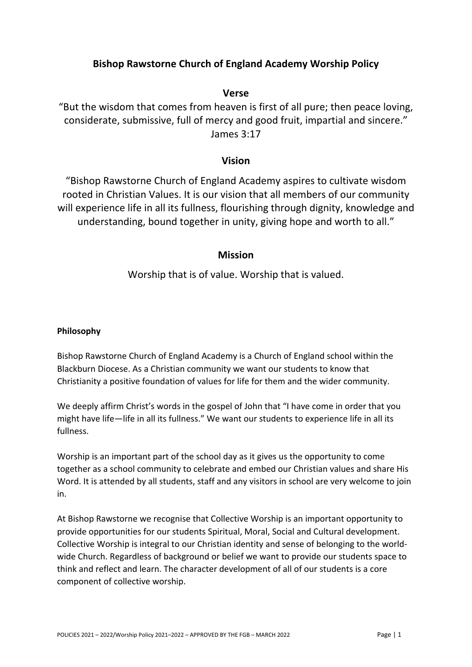#### **Bishop Rawstorne Church of England Academy Worship Policy**

#### **Verse**

"But the wisdom that comes from heaven is first of all pure; then peace loving, considerate, submissive, full of mercy and good fruit, impartial and sincere." James 3:17

#### **Vision**

"Bishop Rawstorne Church of England Academy aspires to cultivate wisdom rooted in Christian Values. It is our vision that all members of our community will experience life in all its fullness, flourishing through dignity, knowledge and understanding, bound together in unity, giving hope and worth to all."

#### **Mission**

Worship that is of value. Worship that is valued.

#### **Philosophy**

Bishop Rawstorne Church of England Academy is a Church of England school within the Blackburn Diocese. As a Christian community we want our students to know that Christianity a positive foundation of values for life for them and the wider community.

We deeply affirm Christ's words in the gospel of John that "I have come in order that you might have life—life in all its fullness." We want our students to experience life in all its fullness.

Worship is an important part of the school day as it gives us the opportunity to come together as a school community to celebrate and embed our Christian values and share His Word. It is attended by all students, staff and any visitors in school are very welcome to join in.

At Bishop Rawstorne we recognise that Collective Worship is an important opportunity to provide opportunities for our students Spiritual, Moral, Social and Cultural development. Collective Worship is integral to our Christian identity and sense of belonging to the world‐ wide Church. Regardless of background or belief we want to provide our students space to think and reflect and learn. The character development of all of our students is a core component of collective worship.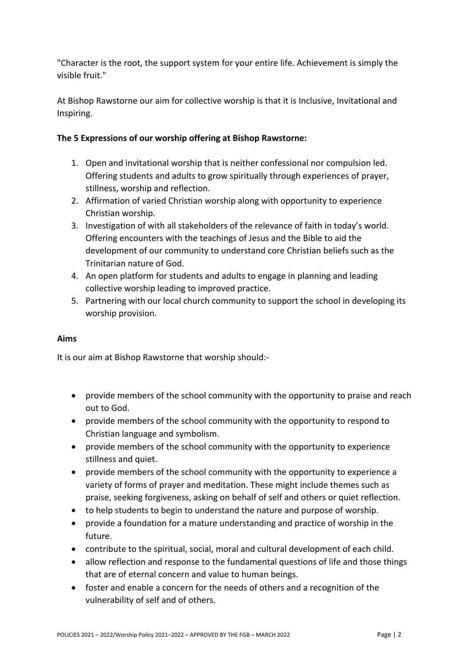"Character is the root, the support system for your entire life. Achievement is simply the visible fruit."

At Bishop Rawstorne our aim for collective worship is that it is Inclusive, Invitational and Inspiring.

#### **The 5 Expressions of our worship offering at Bishop Rawstorne:**

- 1. Open and invitational worship that is neither confessional nor compulsion led. Offering students and adults to grow spiritually through experiences of prayer, stillness, worship and reflection.
- 2. Affirmation of varied Christian worship along with opportunity to experience Christian worship.
- 3. Investigation of with all stakeholders of the relevance of faith in today's world. Offering encounters with the teachings of Jesus and the Bible to aid the development of our community to understand core Christian beliefs such as the Trinitarian nature of God.
- 4. An open platform for students and adults to engage in planning and leading collective worship leading to improved practice.
- 5. Partnering with our local church community to support the school in developing its worship provision.

#### **Aims**

It is our aim at Bishop Rawstorne that worship should:‐

- provide members of the school community with the opportunity to praise and reach out to God.
- provide members of the school community with the opportunity to respond to Christian language and symbolism.
- provide members of the school community with the opportunity to experience stillness and quiet.
- provide members of the school community with the opportunity to experience a variety of forms of prayer and meditation. These might include themes such as praise, seeking forgiveness, asking on behalf of self and others or quiet reflection.
- to help students to begin to understand the nature and purpose of worship.
- provide a foundation for a mature understanding and practice of worship in the future.
- contribute to the spiritual, social, moral and cultural development of each child.
- allow reflection and response to the fundamental questions of life and those things that are of eternal concern and value to human beings.
- foster and enable a concern for the needs of others and a recognition of the vulnerability of self and of others.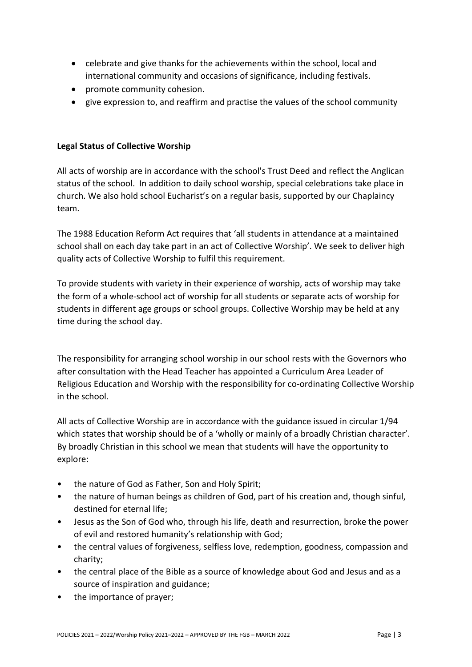- celebrate and give thanks for the achievements within the school, local and international community and occasions of significance, including festivals.
- promote community cohesion.
- give expression to, and reaffirm and practise the values of the school community

#### **Legal Status of Collective Worship**

All acts of worship are in accordance with the school's Trust Deed and reflect the Anglican status of the school. In addition to daily school worship, special celebrations take place in church. We also hold school Eucharist's on a regular basis, supported by our Chaplaincy team.

The 1988 Education Reform Act requires that 'all students in attendance at a maintained school shall on each day take part in an act of Collective Worship'. We seek to deliver high quality acts of Collective Worship to fulfil this requirement.

To provide students with variety in their experience of worship, acts of worship may take the form of a whole‐school act of worship for all students or separate acts of worship for students in different age groups or school groups. Collective Worship may be held at any time during the school day.

The responsibility for arranging school worship in our school rests with the Governors who after consultation with the Head Teacher has appointed a Curriculum Area Leader of Religious Education and Worship with the responsibility for co-ordinating Collective Worship in the school.

All acts of Collective Worship are in accordance with the guidance issued in circular 1/94 which states that worship should be of a 'wholly or mainly of a broadly Christian character'. By broadly Christian in this school we mean that students will have the opportunity to explore:

- the nature of God as Father, Son and Holy Spirit;
- the nature of human beings as children of God, part of his creation and, though sinful, destined for eternal life;
- Jesus as the Son of God who, through his life, death and resurrection, broke the power of evil and restored humanity's relationship with God;
- the central values of forgiveness, selfless love, redemption, goodness, compassion and charity;
- the central place of the Bible as a source of knowledge about God and Jesus and as a source of inspiration and guidance;
- the importance of prayer;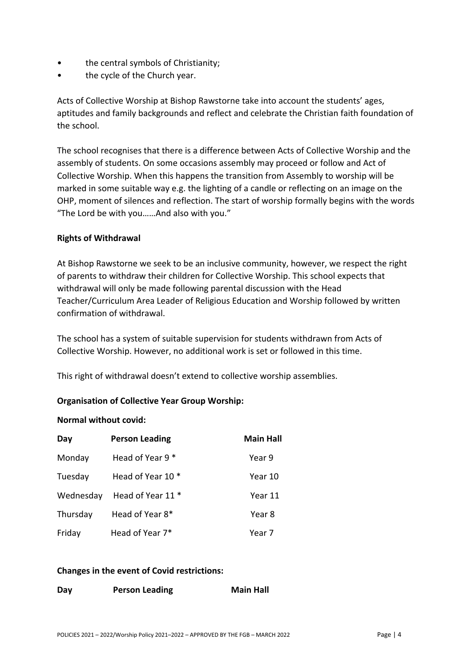- the central symbols of Christianity;
- the cycle of the Church year.

Acts of Collective Worship at Bishop Rawstorne take into account the students' ages, aptitudes and family backgrounds and reflect and celebrate the Christian faith foundation of the school.

The school recognises that there is a difference between Acts of Collective Worship and the assembly of students. On some occasions assembly may proceed or follow and Act of Collective Worship. When this happens the transition from Assembly to worship will be marked in some suitable way e.g. the lighting of a candle or reflecting on an image on the OHP, moment of silences and reflection. The start of worship formally begins with the words "The Lord be with you……And also with you."

#### **Rights of Withdrawal**

At Bishop Rawstorne we seek to be an inclusive community, however, we respect the right of parents to withdraw their children for Collective Worship. This school expects that withdrawal will only be made following parental discussion with the Head Teacher/Curriculum Area Leader of Religious Education and Worship followed by written confirmation of withdrawal.

The school has a system of suitable supervision for students withdrawn from Acts of Collective Worship. However, no additional work is set or followed in this time.

This right of withdrawal doesn't extend to collective worship assemblies.

#### **Organisation of Collective Year Group Worship:**

#### **Normal without covid:**

| Day       | <b>Person Leading</b> | <b>Main Hall</b> |
|-----------|-----------------------|------------------|
| Monday    | Head of Year 9 *      | Year 9           |
| Tuesday   | Head of Year 10 *     | Year 10          |
| Wednesday | Head of Year 11 *     | Year 11          |
| Thursday  | Head of Year 8*       | Year 8           |
| Friday    | Head of Year 7*       | Year 7           |

#### **Changes in the event of Covid restrictions:**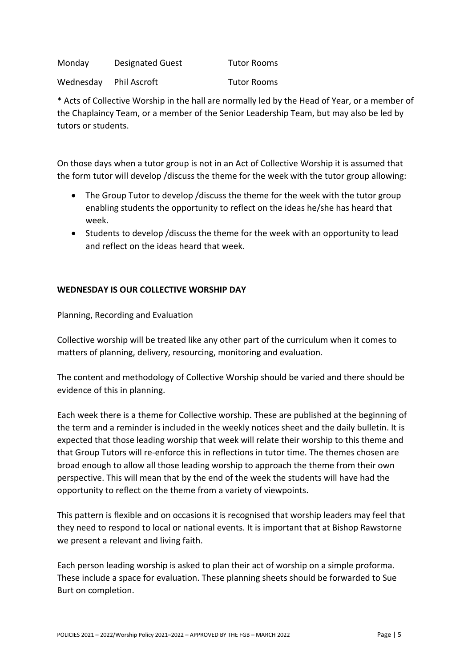Monday Designated Guest Tutor Rooms

Wednesday Phil Ascroft Tutor Rooms

\* Acts of Collective Worship in the hall are normally led by the Head of Year, or a member of the Chaplaincy Team, or a member of the Senior Leadership Team, but may also be led by tutors or students.

On those days when a tutor group is not in an Act of Collective Worship it is assumed that the form tutor will develop /discuss the theme for the week with the tutor group allowing:

- The Group Tutor to develop /discuss the theme for the week with the tutor group enabling students the opportunity to reflect on the ideas he/she has heard that week.
- Students to develop /discuss the theme for the week with an opportunity to lead and reflect on the ideas heard that week.

#### **WEDNESDAY IS OUR COLLECTIVE WORSHIP DAY**

Planning, Recording and Evaluation

Collective worship will be treated like any other part of the curriculum when it comes to matters of planning, delivery, resourcing, monitoring and evaluation.

The content and methodology of Collective Worship should be varied and there should be evidence of this in planning.

Each week there is a theme for Collective worship. These are published at the beginning of the term and a reminder is included in the weekly notices sheet and the daily bulletin. It is expected that those leading worship that week will relate their worship to this theme and that Group Tutors will re‐enforce this in reflections in tutor time. The themes chosen are broad enough to allow all those leading worship to approach the theme from their own perspective. This will mean that by the end of the week the students will have had the opportunity to reflect on the theme from a variety of viewpoints.

This pattern is flexible and on occasions it is recognised that worship leaders may feel that they need to respond to local or national events. It is important that at Bishop Rawstorne we present a relevant and living faith.

Each person leading worship is asked to plan their act of worship on a simple proforma. These include a space for evaluation. These planning sheets should be forwarded to Sue Burt on completion.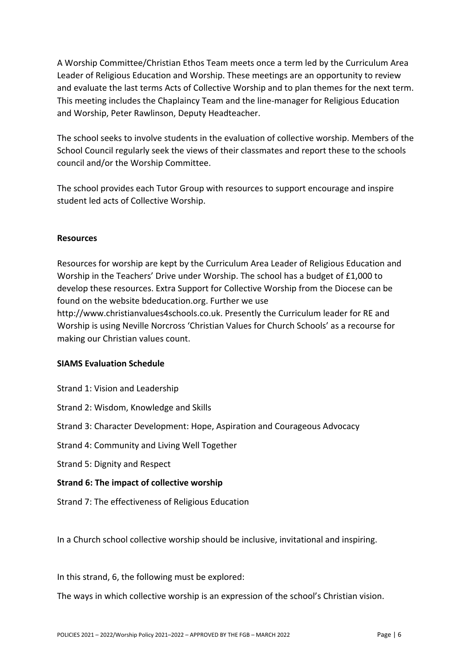A Worship Committee/Christian Ethos Team meets once a term led by the Curriculum Area Leader of Religious Education and Worship. These meetings are an opportunity to review and evaluate the last terms Acts of Collective Worship and to plan themes for the next term. This meeting includes the Chaplaincy Team and the line‐manager for Religious Education and Worship, Peter Rawlinson, Deputy Headteacher.

The school seeks to involve students in the evaluation of collective worship. Members of the School Council regularly seek the views of their classmates and report these to the schools council and/or the Worship Committee.

The school provides each Tutor Group with resources to support encourage and inspire student led acts of Collective Worship.

#### **Resources**

Resources for worship are kept by the Curriculum Area Leader of Religious Education and Worship in the Teachers' Drive under Worship. The school has a budget of £1,000 to develop these resources. Extra Support for Collective Worship from the Diocese can be found on the website bdeducation.org. Further we use

http://www.christianvalues4schools.co.uk. Presently the Curriculum leader for RE and Worship is using Neville Norcross 'Christian Values for Church Schools' as a recourse for making our Christian values count.

#### **SIAMS Evaluation Schedule**

- Strand 1: Vision and Leadership
- Strand 2: Wisdom, Knowledge and Skills
- Strand 3: Character Development: Hope, Aspiration and Courageous Advocacy
- Strand 4: Community and Living Well Together
- Strand 5: Dignity and Respect

#### **Strand 6: The impact of collective worship**

Strand 7: The effectiveness of Religious Education

In a Church school collective worship should be inclusive, invitational and inspiring.

In this strand, 6, the following must be explored:

The ways in which collective worship is an expression of the school's Christian vision.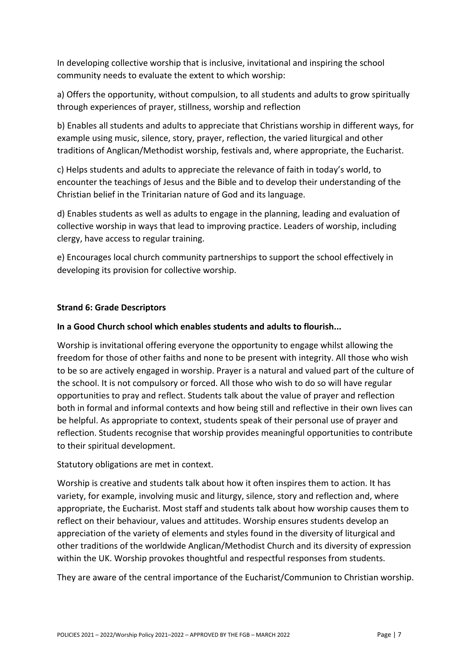In developing collective worship that is inclusive, invitational and inspiring the school community needs to evaluate the extent to which worship:

a) Offers the opportunity, without compulsion, to all students and adults to grow spiritually through experiences of prayer, stillness, worship and reflection

b) Enables all students and adults to appreciate that Christians worship in different ways, for example using music, silence, story, prayer, reflection, the varied liturgical and other traditions of Anglican/Methodist worship, festivals and, where appropriate, the Eucharist.

c) Helps students and adults to appreciate the relevance of faith in today's world, to encounter the teachings of Jesus and the Bible and to develop their understanding of the Christian belief in the Trinitarian nature of God and its language.

d) Enables students as well as adults to engage in the planning, leading and evaluation of collective worship in ways that lead to improving practice. Leaders of worship, including clergy, have access to regular training.

e) Encourages local church community partnerships to support the school effectively in developing its provision for collective worship.

#### **Strand 6: Grade Descriptors**

#### **In a Good Church school which enables students and adults to flourish...**

Worship is invitational offering everyone the opportunity to engage whilst allowing the freedom for those of other faiths and none to be present with integrity. All those who wish to be so are actively engaged in worship. Prayer is a natural and valued part of the culture of the school. It is not compulsory or forced. All those who wish to do so will have regular opportunities to pray and reflect. Students talk about the value of prayer and reflection both in formal and informal contexts and how being still and reflective in their own lives can be helpful. As appropriate to context, students speak of their personal use of prayer and reflection. Students recognise that worship provides meaningful opportunities to contribute to their spiritual development.

Statutory obligations are met in context.

Worship is creative and students talk about how it often inspires them to action. It has variety, for example, involving music and liturgy, silence, story and reflection and, where appropriate, the Eucharist. Most staff and students talk about how worship causes them to reflect on their behaviour, values and attitudes. Worship ensures students develop an appreciation of the variety of elements and styles found in the diversity of liturgical and other traditions of the worldwide Anglican/Methodist Church and its diversity of expression within the UK. Worship provokes thoughtful and respectful responses from students.

They are aware of the central importance of the Eucharist/Communion to Christian worship.